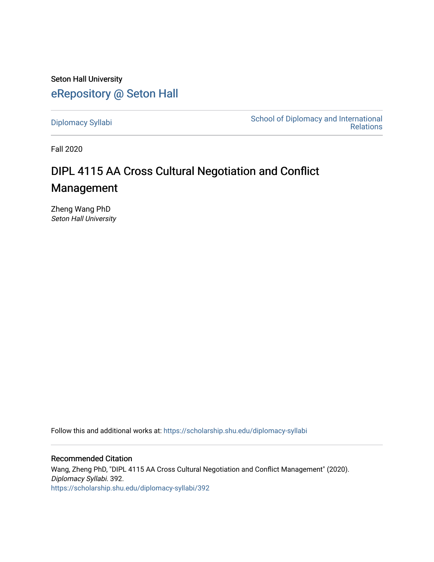Seton Hall University [eRepository @ Seton Hall](https://scholarship.shu.edu/)

[Diplomacy Syllabi](https://scholarship.shu.edu/diplomacy-syllabi) [School of Diplomacy and International](https://scholarship.shu.edu/diplomacy)  [Relations](https://scholarship.shu.edu/diplomacy) 

Fall 2020

# DIPL 4115 AA Cross Cultural Negotiation and Conflict Management

Zheng Wang PhD Seton Hall University

Follow this and additional works at: [https://scholarship.shu.edu/diplomacy-syllabi](https://scholarship.shu.edu/diplomacy-syllabi?utm_source=scholarship.shu.edu%2Fdiplomacy-syllabi%2F392&utm_medium=PDF&utm_campaign=PDFCoverPages) 

Recommended Citation Wang, Zheng PhD, "DIPL 4115 AA Cross Cultural Negotiation and Conflict Management" (2020). Diplomacy Syllabi. 392. [https://scholarship.shu.edu/diplomacy-syllabi/392](https://scholarship.shu.edu/diplomacy-syllabi/392?utm_source=scholarship.shu.edu%2Fdiplomacy-syllabi%2F392&utm_medium=PDF&utm_campaign=PDFCoverPages)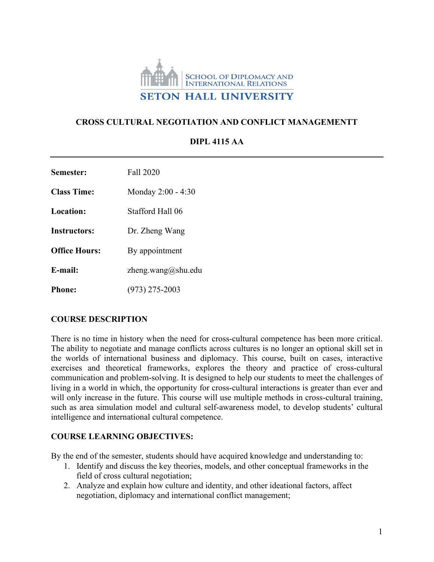

#### **CROSS CULTURAL NEGOTIATION AND CONFLICT MANAGEMENTT**

| Semester:            | Fall 2020          |
|----------------------|--------------------|
| Class Time:          | Monday 2:00 - 4:30 |
| Location:            | Stafford Hall 06   |
| <b>Instructors:</b>  | Dr. Zheng Wang     |
| <b>Office Hours:</b> | By appointment     |
| E-mail:              | zheng.wang@shu.edu |
| Phone:               | $(973)$ 275-2003   |

# **DIPL 4115 AA**

#### **COURSE DESCRIPTION**

There is no time in history when the need for cross-cultural competence has been more critical. The ability to negotiate and manage conflicts across cultures is no longer an optional skill set in the worlds of international business and diplomacy. This course, built on cases, interactive exercises and theoretical frameworks, explores the theory and practice of cross-cultural communication and problem-solving. It is designed to help our students to meet the challenges of living in a world in which, the opportunity for cross-cultural interactions is greater than ever and will only increase in the future. This course will use multiple methods in cross-cultural training, such as area simulation model and cultural self-awareness model, to develop students' cultural intelligence and international cultural competence.

#### **COURSE LEARNING OBJECTIVES:**

By the end of the semester, students should have acquired knowledge and understanding to:

- 1. Identify and discuss the key theories, models, and other conceptual frameworks in the field of cross cultural negotiation;
- 2. Analyze and explain how culture and identity, and other ideational factors, affect negotiation, diplomacy and international conflict management;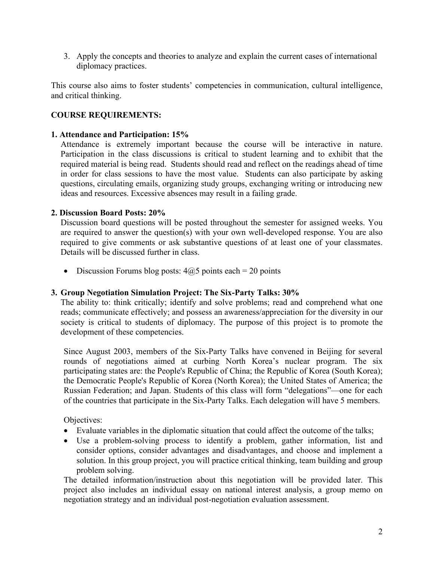3. Apply the concepts and theories to analyze and explain the current cases of international diplomacy practices.

This course also aims to foster students' competencies in communication, cultural intelligence, and critical thinking.

#### **COURSE REQUIREMENTS:**

#### **1. Attendance and Participation: 15%**

Attendance is extremely important because the course will be interactive in nature. Participation in the class discussions is critical to student learning and to exhibit that the required material is being read. Students should read and reflect on the readings ahead of time in order for class sessions to have the most value. Students can also participate by asking questions, circulating emails, organizing study groups, exchanging writing or introducing new ideas and resources. Excessive absences may result in a failing grade.

#### **2. Discussion Board Posts: 20%**

Discussion board questions will be posted throughout the semester for assigned weeks. You are required to answer the question(s) with your own well-developed response. You are also required to give comments or ask substantive questions of at least one of your classmates. Details will be discussed further in class.

• Discussion Forums blog posts:  $4@5$  points each = 20 points

#### **3. Group Negotiation Simulation Project: The Six-Party Talks: 30%**

The ability to: think critically; identify and solve problems; read and comprehend what one reads; communicate effectively; and possess an awareness/appreciation for the diversity in our society is critical to students of diplomacy. The purpose of this project is to promote the development of these competencies.

Since August 2003, members of the Six-Party Talks have convened in Beijing for several rounds of negotiations aimed at curbing North Korea's nuclear program. The six participating states are: the People's Republic of China; the Republic of Korea (South Korea); the Democratic People's Republic of Korea (North Korea); the United States of America; the Russian Federation; and Japan. Students of this class will form "delegations"—one for each of the countries that participate in the Six-Party Talks. Each delegation will have 5 members.

Objectives:

- Evaluate variables in the diplomatic situation that could affect the outcome of the talks;
- Use a problem-solving process to identify a problem, gather information, list and consider options, consider advantages and disadvantages, and choose and implement a solution. In this group project, you will practice critical thinking, team building and group problem solving.

The detailed information/instruction about this negotiation will be provided later. This project also includes an individual essay on national interest analysis, a group memo on negotiation strategy and an individual post-negotiation evaluation assessment.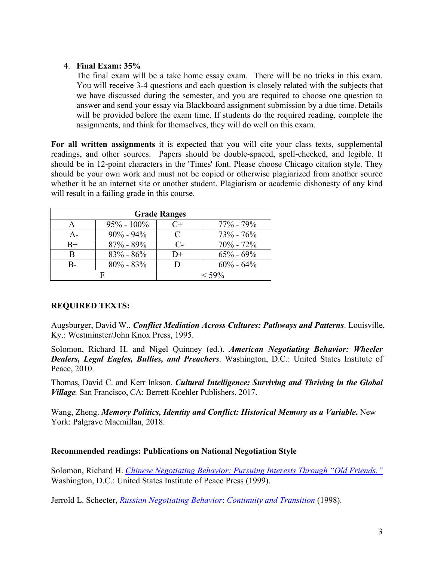#### 4. **Final Exam: 35%**

The final exam will be a take home essay exam. There will be no tricks in this exam. You will receive 3-4 questions and each question is closely related with the subjects that we have discussed during the semester, and you are required to choose one question to answer and send your essay via Blackboard assignment submission by a due time. Details will be provided before the exam time. If students do the required reading, complete the assignments, and think for themselves, they will do well on this exam.

**For all written assignments** it is expected that you will cite your class texts, supplemental readings, and other sources. Papers should be double-spaced, spell-checked, and legible. It should be in 12-point characters in the 'Times' font. Please choose Chicago citation style. They should be your own work and must not be copied or otherwise plagiarized from another source whether it be an internet site or another student. Plagiarism or academic dishonesty of any kind will result in a failing grade in this course.

| <b>Grade Ranges</b> |                |          |                 |
|---------------------|----------------|----------|-----------------|
|                     | $95\% - 100\%$ | $C+$     | $77\%$ - $79\%$ |
| $A -$               | $90\% - 94\%$  | $\Gamma$ | $73\% - 76\%$   |
| $B+$                | $87\% - 89\%$  | $C-$     | $70\% - 72\%$   |
| R                   | $83\% - 86\%$  | D+       | $65\% - 69\%$   |
|                     | $80\% - 83\%$  |          | $60\% - 64\%$   |
|                     |                |          | $<$ 59%         |

#### **REQUIRED TEXTS:**

Augsburger, David W.. *Conflict Mediation Across Cultures: Pathways and Patterns*. Louisville, Ky.: Westminster/John Knox Press, 1995.

Solomon, Richard H. and Nigel Quinney (ed.). *American Negotiating Behavior: Wheeler Dealers, Legal Eagles, Bullies, and Preachers*. Washington, D.C.: United States Institute of Peace, 2010.

Thomas, David C. and Kerr Inkson. *Cultural Intelligence: Surviving and Thriving in the Global Village.* San Francisco, CA: Berrett-Koehler Publishers, 2017.

Wang, Zheng. *Memory Politics, Identity and Conflict: Historical Memory as a Variable***.** New York: Palgrave Macmillan, 2018.

#### **Recommended readings: Publications on National Negotiation Style**

Solomon, Richard H. *[Chinese Negotiating Behavior: Pursuing Interests Through "Old Friends."](https://www.usip.org/index.php/publications/1999/07/chinese-negotiating-behavior)* Washington, D.C.: United States Institute of Peace Press (1999).

Jerrold L. Schecter, *[Russian Negotiating Behavior](https://www.usip.org/index.php/publications/1998/04/russian-negotiating-behavior)*: *Continuity and Transition* (1998).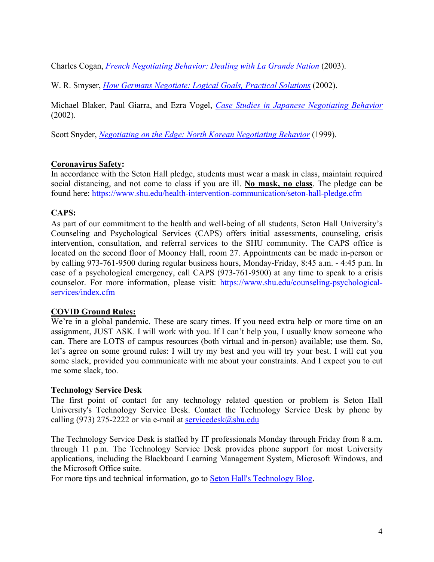Charles Cogan, *[French Negotiating Behavior: Dealing with La Grande Nation](https://www.usip.org/publications/2003/12/french-negotiating-behavior)* (2003).

W. R. Smyser, *[How Germans Negotiate: Logical Goals, Practical Solutions](https://www.amazon.com/How-Germans-Negotiate-Cross-Cultural-Negotiation/dp/1929223404)* (2002).

Michael Blaker, Paul Giarra, and Ezra Vogel, *[Case Studies in Japanese Negotiating Behavior](https://www.amazon.com/Japanese-Negotiating-Behavior-Cross-Cultural-Negotiation/dp/1929223102/ref=sr_1_1?dchild=1&keywords=Case+Studies+in+Japanese+Negotiating+Behavior&qid=1592282202&s=books&sr=1-1)* (2002).

Scott Snyder, *[Negotiating on the Edge: North Korean Negotiating Behavior](https://www.amazon.com/Negotiating-Edge-Behavior-Cross-Cultural-Negotiation/dp/1878379941/ref=sr_1_2?dchild=1&keywords=Negotiating+on+the+Edge%3A+North+Korean+Negotiating+Behavior&qid=1592282242&s=books&sr=1-2)* (1999).

# **Coronavirus Safety:**

In accordance with the Seton Hall pledge, students must wear a mask in class, maintain required social distancing, and not come to class if you are ill. **No mask, no class**. The pledge can be found here: https://www.shu.edu/health-intervention-communication/seton-hall-pledge.cfm

# **CAPS:**

As part of our commitment to the health and well-being of all students, Seton Hall University's Counseling and Psychological Services (CAPS) offers initial assessments, counseling, crisis intervention, consultation, and referral services to the SHU community. The CAPS office is located on the second floor of Mooney Hall, room 27. Appointments can be made in-person or by calling 973-761-9500 during regular business hours, Monday-Friday, 8:45 a.m. - 4:45 p.m. In case of a psychological emergency, call CAPS (973-761-9500) at any time to speak to a crisis counselor. For more information, please visit: https://www.shu.edu/counseling-psychologicalservices/index.cfm

#### **COVID Ground Rules:**

We're in a global pandemic. These are scary times. If you need extra help or more time on an assignment, JUST ASK. I will work with you. If I can't help you, I usually know someone who can. There are LOTS of campus resources (both virtual and in-person) available; use them. So, let's agree on some ground rules: I will try my best and you will try your best. I will cut you some slack, provided you communicate with me about your constraints. And I expect you to cut me some slack, too.

#### **Technology Service Desk**

The first point of contact for any technology related question or problem is Seton Hall University's Technology Service Desk. Contact the Technology Service Desk by phone by calling (973) 275-2222 or via e-mail at servicedesk $@$ shu.edu

The Technology Service Desk is staffed by IT professionals Monday through Friday from 8 a.m. through 11 p.m. The Technology Service Desk provides phone support for most University applications, including the Blackboard Learning Management System, Microsoft Windows, and the Microsoft Office suite.

For more tips and technical information, go to [Seton Hall's Technology Blog.](http://blogs.shu.edu/technology)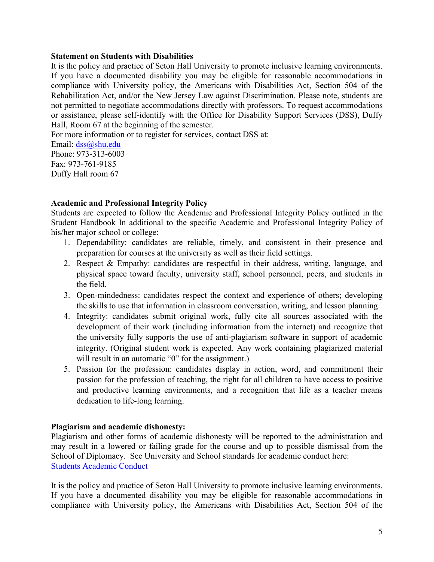#### **Statement on Students with Disabilities**

It is the policy and practice of Seton Hall University to promote inclusive learning environments. If you have a documented disability you may be eligible for reasonable accommodations in compliance with University policy, the Americans with Disabilities Act, Section 504 of the Rehabilitation Act, and/or the New Jersey Law against Discrimination. Please note, students are not permitted to negotiate accommodations directly with professors. To request accommodations or assistance, please self-identify with the Office for Disability Support Services (DSS), Duffy Hall, Room 67 at the beginning of the semester.

For more information or to register for services, contact DSS at: Email: [dss@shu.edu](mailto:dss@shu.edu) Phone: 973-313-6003 Fax: 973-761-9185 Duffy Hall room 67

#### **Academic and Professional Integrity Policy**

Students are expected to follow the Academic and Professional Integrity Policy outlined in the Student Handbook In additional to the specific Academic and Professional Integrity Policy of his/her major school or college:

- 1. Dependability: candidates are reliable, timely, and consistent in their presence and preparation for courses at the university as well as their field settings.
- 2. Respect & Empathy: candidates are respectful in their address, writing, language, and physical space toward faculty, university staff, school personnel, peers, and students in the field.
- 3. Open-mindedness: candidates respect the context and experience of others; developing the skills to use that information in classroom conversation, writing, and lesson planning.
- 4. Integrity: candidates submit original work, fully cite all sources associated with the development of their work (including information from the internet) and recognize that the university fully supports the use of anti-plagiarism software in support of academic integrity. (Original student work is expected. Any work containing plagiarized material will result in an automatic "0" for the assignment.)
- 5. Passion for the profession: candidates display in action, word, and commitment their passion for the profession of teaching, the right for all children to have access to positive and productive learning environments, and a recognition that life as a teacher means dedication to life-long learning.

#### **Plagiarism and academic dishonesty:**

Plagiarism and other forms of academic dishonesty will be reported to the administration and may result in a lowered or failing grade for the course and up to possible dismissal from the School of Diplomacy. See University and School standards for academic conduct here: [Students Academic Conduct](http://www.shu.edu/academics/diplomacy/academic-conduct.cfm)

It is the policy and practice of Seton Hall University to promote inclusive learning environments. If you have a documented disability you may be eligible for reasonable accommodations in compliance with University policy, the Americans with Disabilities Act, Section 504 of the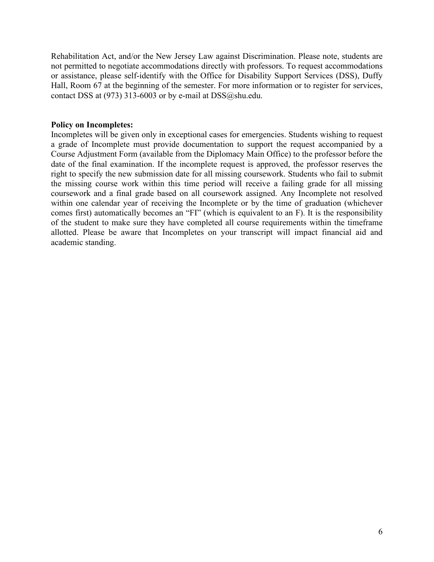Rehabilitation Act, and/or the New Jersey Law against Discrimination. Please note, students are not permitted to negotiate accommodations directly with professors. To request accommodations or assistance, please self-identify with the Office for Disability Support Services (DSS), Duffy Hall, Room 67 at the beginning of the semester. For more information or to register for services, contact DSS at (973) 313-6003 or by e-mail at DSS@shu.edu.

#### **Policy on Incompletes:**

Incompletes will be given only in exceptional cases for emergencies. Students wishing to request a grade of Incomplete must provide documentation to support the request accompanied by a Course Adjustment Form (available from the Diplomacy Main Office) to the professor before the date of the final examination. If the incomplete request is approved, the professor reserves the right to specify the new submission date for all missing coursework. Students who fail to submit the missing course work within this time period will receive a failing grade for all missing coursework and a final grade based on all coursework assigned. Any Incomplete not resolved within one calendar year of receiving the Incomplete or by the time of graduation (whichever comes first) automatically becomes an "FI" (which is equivalent to an F). It is the responsibility of the student to make sure they have completed all course requirements within the timeframe allotted. Please be aware that Incompletes on your transcript will impact financial aid and academic standing.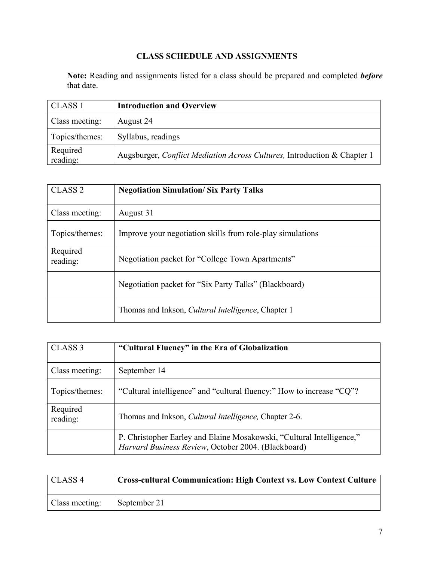# **CLASS SCHEDULE AND ASSIGNMENTS**

**Note:** Reading and assignments listed for a class should be prepared and completed *before* that date.

| CLASS <sub>1</sub>   | <b>Introduction and Overview</b>                                         |
|----------------------|--------------------------------------------------------------------------|
| Class meeting:       | August 24                                                                |
| Topics/themes:       | Syllabus, readings                                                       |
| Required<br>reading: | Augsburger, Conflict Mediation Across Cultures, Introduction & Chapter 1 |

| CLASS <sub>2</sub>   | <b>Negotiation Simulation/Six Party Talks</b>               |
|----------------------|-------------------------------------------------------------|
| Class meeting:       | August 31                                                   |
| Topics/themes:       | Improve your negotiation skills from role-play simulations  |
| Required<br>reading: | Negotiation packet for "College Town Apartments"            |
|                      | Negotiation packet for "Six Party Talks" (Blackboard)       |
|                      | Thomas and Inkson, <i>Cultural Intelligence</i> , Chapter 1 |

| CLASS <sub>3</sub>   | "Cultural Fluency" in the Era of Globalization                                                                               |
|----------------------|------------------------------------------------------------------------------------------------------------------------------|
| Class meeting:       | September 14                                                                                                                 |
| Topics/themes:       | "Cultural intelligence" and "cultural fluency:" How to increase "CQ"?                                                        |
| Required<br>reading: | Thomas and Inkson, <i>Cultural Intelligence</i> , Chapter 2-6.                                                               |
|                      | P. Christopher Earley and Elaine Mosakowski, "Cultural Intelligence,"<br>Harvard Business Review, October 2004. (Blackboard) |

| CLASS <sub>4</sub> | Cross-cultural Communication: High Context vs. Low Context Culture |
|--------------------|--------------------------------------------------------------------|
| Class meeting:     | September 21                                                       |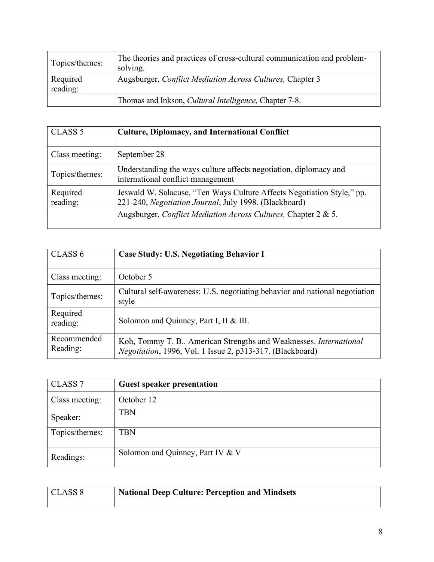| Topics/themes:       | The theories and practices of cross-cultural communication and problem-<br>solving. |
|----------------------|-------------------------------------------------------------------------------------|
| Required<br>reading: | Augsburger, <i>Conflict Mediation Across Cultures</i> , Chapter 3                   |
|                      | Thomas and Inkson, <i>Cultural Intelligence</i> , Chapter 7-8.                      |

| CLASS <sub>5</sub>   | <b>Culture, Diplomacy, and International Conflict</b>                                                                           |
|----------------------|---------------------------------------------------------------------------------------------------------------------------------|
| Class meeting:       | September 28                                                                                                                    |
| Topics/themes:       | Understanding the ways culture affects negotiation, diplomacy and<br>international conflict management                          |
| Required<br>reading: | Jeswald W. Salacuse, "Ten Ways Culture Affects Negotiation Style," pp.<br>221-240, Negotiation Journal, July 1998. (Blackboard) |
|                      | Augsburger, Conflict Mediation Across Cultures, Chapter 2 & 5.                                                                  |

| CLASS <sub>6</sub>      | <b>Case Study: U.S. Negotiating Behavior I</b>                                                                                |
|-------------------------|-------------------------------------------------------------------------------------------------------------------------------|
| Class meeting:          | October 5                                                                                                                     |
| Topics/themes:          | Cultural self-awareness: U.S. negotiating behavior and national negotiation<br>style                                          |
| Required<br>reading:    | Solomon and Quinney, Part I, II & III.                                                                                        |
| Recommended<br>Reading: | Koh, Tommy T. B American Strengths and Weaknesses. International<br>Negotiation, 1996, Vol. 1 Issue 2, p313-317. (Blackboard) |

| CLASS <sub>7</sub> | <b>Guest speaker presentation</b> |
|--------------------|-----------------------------------|
| Class meeting:     | October 12                        |
| Speaker:           | <b>TBN</b>                        |
| Topics/themes:     | <b>TBN</b>                        |
| Readings:          | Solomon and Quinney, Part IV & V  |

| CLASS 8 | <b>National Deep Culture: Perception and Mindsets</b> |
|---------|-------------------------------------------------------|
|---------|-------------------------------------------------------|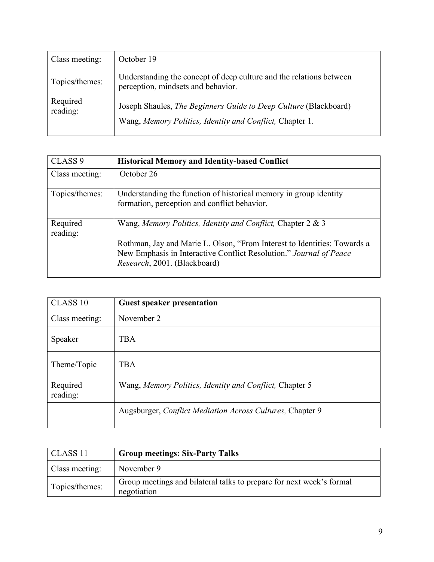| Class meeting:       | October 19                                                                                                |
|----------------------|-----------------------------------------------------------------------------------------------------------|
| Topics/themes:       | Understanding the concept of deep culture and the relations between<br>perception, mindsets and behavior. |
| Required<br>reading: | Joseph Shaules, The Beginners Guide to Deep Culture (Blackboard)                                          |
|                      | Wang, Memory Politics, Identity and Conflict, Chapter 1.                                                  |

| CLASS <sub>9</sub>   | <b>Historical Memory and Identity-based Conflict</b>                                                                                                                           |
|----------------------|--------------------------------------------------------------------------------------------------------------------------------------------------------------------------------|
| Class meeting:       | October 26                                                                                                                                                                     |
| Topics/themes:       | Understanding the function of historical memory in group identity<br>formation, perception and conflict behavior.                                                              |
| Required<br>reading: | Wang, Memory Politics, Identity and Conflict, Chapter 2 & 3                                                                                                                    |
|                      | Rothman, Jay and Marie L. Olson, "From Interest to Identities: Towards a<br>New Emphasis in Interactive Conflict Resolution." Journal of Peace<br>Research, 2001. (Blackboard) |

| CLASS 10             | <b>Guest speaker presentation</b>                                 |
|----------------------|-------------------------------------------------------------------|
| Class meeting:       | November 2                                                        |
| Speaker              | <b>TBA</b>                                                        |
| Theme/Topic          | <b>TBA</b>                                                        |
| Required<br>reading: | Wang, Memory Politics, Identity and Conflict, Chapter 5           |
|                      | Augsburger, <i>Conflict Mediation Across Cultures</i> , Chapter 9 |

| CLASS <sub>11</sub> | <b>Group meetings: Six-Party Talks</b>                                              |
|---------------------|-------------------------------------------------------------------------------------|
| Class meeting:      | November 9                                                                          |
| Topics/themes:      | Group meetings and bilateral talks to prepare for next week's formal<br>negotiation |